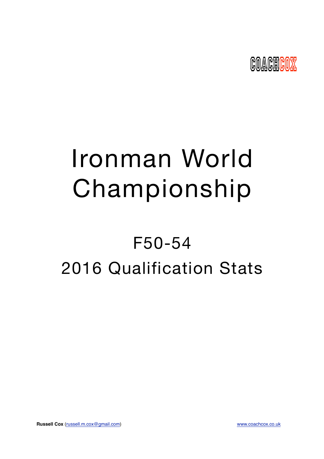

# Ironman World Championship

## F50-54 2016 Qualification Stats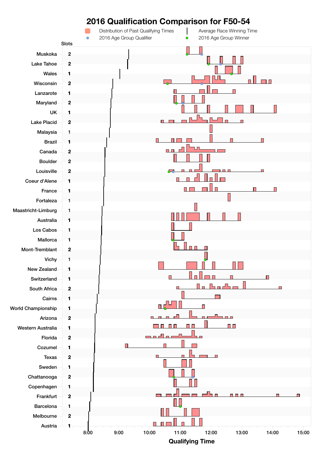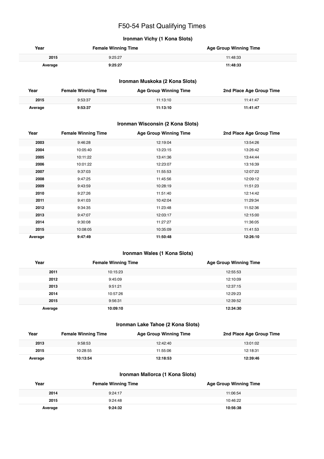## F50-54 Past Qualifying Times

#### **Ironman Vichy (1 Kona Slots)**

| Year    | <b>Female Winning Time</b> | <b>Age Group Winning Time</b> |
|---------|----------------------------|-------------------------------|
| 2015    | 9:25:27                    | 11:48:33                      |
| Average | 9:25:27                    | 11:48:33                      |

#### **Ironman Muskoka (2 Kona Slots)**

| Year    | <b>Female Winning Time</b> | <b>Age Group Winning Time</b> | 2nd Place Age Group Time |
|---------|----------------------------|-------------------------------|--------------------------|
| 2015    | 9:53:37                    | 11:13:10                      | 11:41:47                 |
| Average | 9:53:37                    | 11:13:10                      | 11:41:47                 |

#### **Ironman Wisconsin (2 Kona Slots)**

| Year    | <b>Female Winning Time</b> | <b>Age Group Winning Time</b> | 2nd Place Age Group Time |
|---------|----------------------------|-------------------------------|--------------------------|
| 2003    | 9:46:28                    | 12:19:04                      | 13:54:26                 |
| 2004    | 10:05:40                   | 13:23:15                      | 13:26:42                 |
| 2005    | 10:11:22                   | 13:41:36                      | 13:44:44                 |
| 2006    | 10:01:22                   | 12:23:07                      | 13:16:39                 |
| 2007    | 9:37:03                    | 11:55:53                      | 12:07:22                 |
| 2008    | 9:47:25                    | 11:45:56                      | 12:09:12                 |
| 2009    | 9:43:59                    | 10:28:19                      | 11:51:23                 |
| 2010    | 9:27:26                    | 11:51:40                      | 12:14:42                 |
| 2011    | 9:41:03                    | 10:42:04                      | 11:29:34                 |
| 2012    | 9:34:35                    | 11:23:48                      | 11:52:36                 |
| 2013    | 9:47:07                    | 12:03:17                      | 12:15:00                 |
| 2014    | 9:30:08                    | 11:27:27                      | 11:36:05                 |
| 2015    | 10:08:05                   | 10:35:09                      | 11:41:53                 |
| Average | 9:47:49                    | 11:50:48                      | 12:26:10                 |

#### **Ironman Wales (1 Kona Slots)**

| Year    | <b>Female Winning Time</b> | <b>Age Group Winning Time</b> |
|---------|----------------------------|-------------------------------|
| 2011    | 10:15:23                   | 12:55:53                      |
| 2012    | 9:45:09                    | 12:10:09                      |
| 2013    | 9:51:21                    | 12:37:15                      |
| 2014    | 10:57:26                   | 12:29:23                      |
| 2015    | 9:56:31                    | 12:39:52                      |
| Average | 10:09:10                   | 12:34:30                      |

#### **Ironman Lake Tahoe (2 Kona Slots)**

| Year    | <b>Female Winning Time</b> | <b>Age Group Winning Time</b> | 2nd Place Age Group Time |
|---------|----------------------------|-------------------------------|--------------------------|
| 2013    | 9:58:53                    | 12:42:40                      | 13:01:02                 |
| 2015    | 10:28:55                   | 11:55:06                      | 12:18:31                 |
| Average | 10:13:54                   | 12:18:53                      | 12:39:46                 |

#### **Ironman Mallorca (1 Kona Slots)**

| Year    | <b>Female Winning Time</b> | <b>Age Group Winning Time</b> |
|---------|----------------------------|-------------------------------|
| 2014    | 9:24:17                    | 11:06:54                      |
| 2015    | 9:24:48                    | 10:46:22                      |
| Average | 9:24:32                    | 10:56:38                      |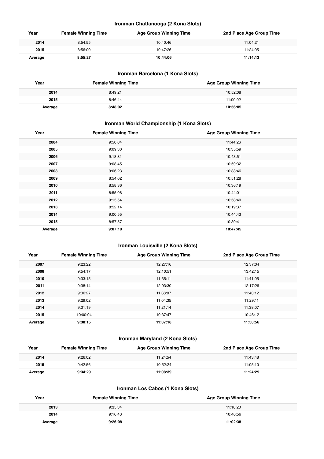#### **Ironman Chattanooga (2 Kona Slots)**

| Year    | <b>Female Winning Time</b> | <b>Age Group Winning Time</b> | 2nd Place Age Group Time |
|---------|----------------------------|-------------------------------|--------------------------|
| 2014    | 8:54:55                    | 10:40:46                      | 11:04:21                 |
| 2015    | 8:56:00                    | 10:47:26                      | 11:24:05                 |
| Average | 8:55:27                    | 10:44:06                      | 11:14:13                 |

#### **Ironman Barcelona (1 Kona Slots)**

| Year    | <b>Female Winning Time</b> | <b>Age Group Winning Time</b> |
|---------|----------------------------|-------------------------------|
| 2014    | 8:49:21                    | 10:52:08                      |
| 2015    | 8:46:44                    | 11:00:02                      |
| Average | 8:48:02                    | 10:56:05                      |

#### **Ironman World Championship (1 Kona Slots)**

| Year    | <b>Female Winning Time</b> | <b>Age Group Winning Time</b> |
|---------|----------------------------|-------------------------------|
| 2004    | 9:50:04                    | 11:44:26                      |
| 2005    | 9:09:30                    | 10:35:59                      |
| 2006    | 9:18:31                    | 10:48:51                      |
| 2007    | 9:08:45                    | 10:59:32                      |
| 2008    | 9:06:23                    | 10:38:46                      |
| 2009    | 8:54:02                    | 10:51:28                      |
| 2010    | 8:58:36                    | 10:36:19                      |
| 2011    | 8:55:08                    | 10:44:01                      |
| 2012    | 9:15:54                    | 10:58:40                      |
| 2013    | 8:52:14                    | 10:19:37                      |
| 2014    | 9:00:55                    | 10:44:43                      |
| 2015    | 8:57:57                    | 10:30:41                      |
| Average | 9:07:19                    | 10:47:45                      |

#### **Ironman Louisville (2 Kona Slots)**

| Year    | <b>Female Winning Time</b> | <b>Age Group Winning Time</b> | 2nd Place Age Group Time |
|---------|----------------------------|-------------------------------|--------------------------|
| 2007    | 9:23:22                    | 12:27:16                      | 12:37:04                 |
| 2008    | 9:54:17                    | 12:10:51                      | 13:42:15                 |
| 2010    | 9:33:15                    | 11:35:11                      | 11:41:05                 |
| 2011    | 9:38:14                    | 12:03:30                      | 12:17:26                 |
| 2012    | 9:36:27                    | 11:38:07                      | 11:40:12                 |
| 2013    | 9:29:02                    | 11:04:35                      | 11:29:11                 |
| 2014    | 9:31:19                    | 11:21:14                      | 11:38:07                 |
| 2015    | 10:00:04                   | 10:37:47                      | 10:46:12                 |
| Average | 9:38:15                    | 11:37:18                      | 11:58:56                 |

#### **Ironman Maryland (2 Kona Slots)**

| Year    | <b>Female Winning Time</b> | Age Group Winning Time | 2nd Place Age Group Time |
|---------|----------------------------|------------------------|--------------------------|
| 2014    | 9:26:02                    | 11:24:54               | 11:43:48                 |
| 2015    | 9:42:56                    | 10:52:24               | 11:05:10                 |
| Average | 9:34:29                    | 11:08:39               | 11:24:29                 |

#### **Ironman Los Cabos (1 Kona Slots)**

| Year    | <b>Female Winning Time</b> | <b>Age Group Winning Time</b> |
|---------|----------------------------|-------------------------------|
| 2013    | 9:35:34                    | 11:18:20                      |
| 2014    | 9:16:43                    | 10:46:56                      |
| Average | 9:26:08                    | 11:02:38                      |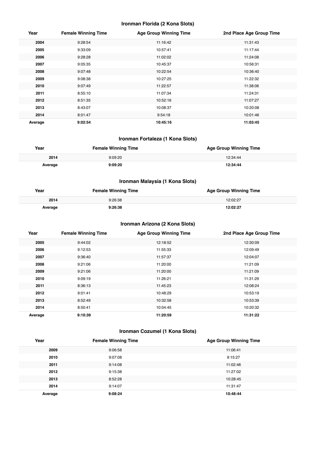#### **Ironman Florida (2 Kona Slots)**

| Year    | <b>Female Winning Time</b> | <b>Age Group Winning Time</b> | 2nd Place Age Group Time |
|---------|----------------------------|-------------------------------|--------------------------|
| 2004    | 9:28:54                    | 11:16:42                      | 11:31:43                 |
| 2005    | 9:33:09                    | 10:57:41                      | 11:17:44                 |
| 2006    | 9:28:28                    | 11:02:02                      | 11:24:08                 |
| 2007    | 9:05:35                    | 10:45:37                      | 10:56:31                 |
| 2008    | 9:07:48                    | 10:22:54                      | 10:36:40                 |
| 2009    | 9:08:38                    | 10:27:25                      | 11:22:32                 |
| 2010    | 9:07:49                    | 11:22:57                      | 11:38:06                 |
| 2011    | 8:55:10                    | 11:07:34                      | 11:24:31                 |
| 2012    | 8:51:35                    | 10:52:16                      | 11:07:27                 |
| 2013    | 8:43:07                    | 10:08:37                      | 10:20:08                 |
| 2014    | 8:01:47                    | 9:54:18                       | 10:01:46                 |
| Average | 9:02:54                    | 10:45:16                      | 11:03:45                 |

#### **Ironman Fortaleza (1 Kona Slots)**

| Year    | <b>Female Winning Time</b> | <b>Age Group Winning Time</b> |
|---------|----------------------------|-------------------------------|
| 2014    | 9:09:20                    | 12:34:44                      |
| Average | 9:09:20                    | 12:34:44                      |

#### **Ironman Malaysia (1 Kona Slots)**

| Year    | <b>Female Winning Time</b> | <b>Age Group Winning Time</b> |
|---------|----------------------------|-------------------------------|
| 2014    | 9:26:38                    | 12:02:27                      |
| Average | 9:26:38                    | 12:02:27                      |

#### **Ironman Arizona (2 Kona Slots)**

| Year    | <b>Female Winning Time</b> | <b>Age Group Winning Time</b> | 2nd Place Age Group Time |
|---------|----------------------------|-------------------------------|--------------------------|
| 2005    | 9:44:02                    | 12:18:52                      | 12:30:09                 |
| 2006    | 9:12:53                    | 11:55:33                      | 12:09:49                 |
| 2007    | 9:36:40                    | 11:57:37                      | 12:04:07                 |
| 2008    | 9:21:06                    | 11:20:00                      | 11:21:09                 |
| 2009    | 9:21:06                    | 11:20:00                      | 11:21:09                 |
| 2010    | 9:09:19                    | 11:26:21                      | 11:31:29                 |
| 2011    | 8:36:13                    | 11:45:23                      | 12:08:24                 |
| 2012    | 9:01:41                    | 10:48:29                      | 10:53:19                 |
| 2013    | 8:52:49                    | 10:32:58                      | 10:53:39                 |
| 2014    | 8:50:41                    | 10:04:45                      | 10:20:32                 |
| Average | 9:10:39                    | 11:20:59                      | 11:31:22                 |

#### **Ironman Cozumel (1 Kona Slots)**

| Year    | <b>Female Winning Time</b> | <b>Age Group Winning Time</b> |
|---------|----------------------------|-------------------------------|
| 2009    | 9:06:58                    | 11:06:41                      |
| 2010    | 9:07:08                    | 9:15:27                       |
| 2011    | 9:14:08                    | 11:02:46                      |
| 2012    | 9:15:38                    | 11:27:02                      |
| 2013    | 8:52:28                    | 10:28:45                      |
| 2014    | 9:14:07                    | 11:31:47                      |
| Average | 9:08:24                    | 10:48:44                      |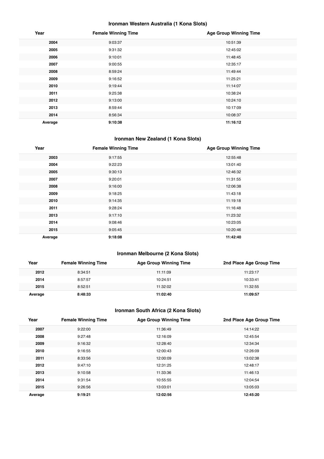#### **Ironman Western Australia (1 Kona Slots)**

| Year    | <b>Female Winning Time</b> | <b>Age Group Winning Time</b> |
|---------|----------------------------|-------------------------------|
| 2004    | 9:03:37                    | 10:51:39                      |
| 2005    | 9:31:32                    | 12:45:02                      |
| 2006    | 9:10:01                    | 11:48:45                      |
| 2007    | 9:00:55                    | 12:35:17                      |
| 2008    | 8:59:24                    | 11:49:44                      |
| 2009    | 9:16:52                    | 11:25:21                      |
| 2010    | 9:19:44                    | 11:14:07                      |
| 2011    | 9:25:38                    | 10:38:24                      |
| 2012    | 9:13:00                    | 10:24:10                      |
| 2013    | 8:59:44                    | 10:17:09                      |
| 2014    | 8:56:34                    | 10:08:37                      |
| Average | 9:10:38                    | 11:16:12                      |

## **Ironman New Zealand (1 Kona Slots)**

| Year    | <b>Female Winning Time</b> | <b>Age Group Winning Time</b> |
|---------|----------------------------|-------------------------------|
| 2003    | 9:17:55                    | 12:55:48                      |
| 2004    | 9:22:23                    | 13:01:40                      |
| 2005    | 9:30:13                    | 12:46:32                      |
| 2007    | 9:20:01                    | 11:31:55                      |
| 2008    | 9:16:00                    | 12:06:38                      |
| 2009    | 9:18:25                    | 11:43:18                      |
| 2010    | 9:14:35                    | 11:19:18                      |
| 2011    | 9:28:24                    | 11:16:48                      |
| 2013    | 9:17:10                    | 11:23:32                      |
| 2014    | 9:08:46                    | 10:23:05                      |
| 2015    | 9:05:45                    | 10:20:46                      |
| Average | 9:18:08                    | 11:42:40                      |

#### **Ironman Melbourne (2 Kona Slots)**

| Year    | <b>Female Winning Time</b> | <b>Age Group Winning Time</b> | 2nd Place Age Group Time |
|---------|----------------------------|-------------------------------|--------------------------|
| 2012    | 8:34:51                    | 11:11:09                      | 11:23:17                 |
| 2014    | 8:57:57                    | 10:24:51                      | 10:33:41                 |
| 2015    | 8:52:51                    | 11:32:02                      | 11:32:55                 |
| Average | 8:48:33                    | 11:02:40                      | 11:09:57                 |

#### **Ironman South Africa (2 Kona Slots)**

| Year    | <b>Female Winning Time</b> | <b>Age Group Winning Time</b> | 2nd Place Age Group Time |
|---------|----------------------------|-------------------------------|--------------------------|
| 2007    | 9:22:00                    | 11:36:49                      | 14:14:22                 |
| 2008    | 9:27:48                    | 12:16:09                      | 12:45:54                 |
| 2009    | 9:16:32                    | 12:28:40                      | 12:34:34                 |
| 2010    | 9:16:55                    | 12:00:43                      | 12:26:09                 |
| 2011    | 8:33:56                    | 12:00:09                      | 13:02:38                 |
| 2012    | 9:47:10                    | 12:31:25                      | 12:48:17                 |
| 2013    | 9:10:58                    | 11:33:36                      | 11:46:13                 |
| 2014    | 9:31:54                    | 10:55:55                      | 12:04:54                 |
| 2015    | 9:26:56                    | 13:03:01                      | 13:05:03                 |
| Average | 9:19:21                    | 12:02:56                      | 12:45:20                 |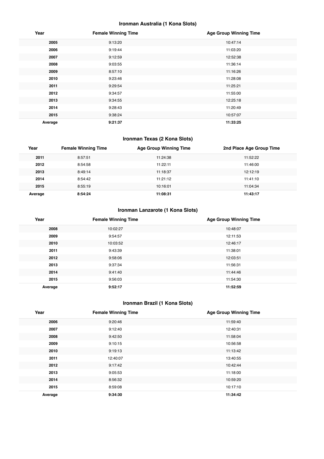#### **Ironman Australia (1 Kona Slots)**

| Year    | <b>Female Winning Time</b> | <b>Age Group Winning Time</b> |
|---------|----------------------------|-------------------------------|
| 2005    | 9:13:20                    | 10:47:14                      |
| 2006    | 9:19:44                    | 11:03:20                      |
| 2007    | 9:12:59                    | 12:52:38                      |
| 2008    | 9:03:55                    | 11:36:14                      |
| 2009    | 8:57:10                    | 11:16:26                      |
| 2010    | 9:23:46                    | 11:28:08                      |
| 2011    | 9:29:54                    | 11:25:21                      |
| 2012    | 9:34:57                    | 11:55:00                      |
| 2013    | 9:34:55                    | 12:25:18                      |
| 2014    | 9:28:43                    | 11:20:49                      |
| 2015    | 9:38:24                    | 10:57:07                      |
| Average | 9:21:37                    | 11:33:25                      |

#### **Ironman Texas (2 Kona Slots)**

| Year    | <b>Female Winning Time</b> | <b>Age Group Winning Time</b> | 2nd Place Age Group Time |
|---------|----------------------------|-------------------------------|--------------------------|
| 2011    | 8:57:51                    | 11:24:38                      | 11:52:22                 |
| 2012    | 8:54:58                    | 11:22:11                      | 11:46:00                 |
| 2013    | 8:49:14                    | 11:18:37                      | 12:12:19                 |
| 2014    | 8:54:42                    | 11:21:12                      | 11:41:10                 |
| 2015    | 8:55:19                    | 10:16:01                      | 11:04:34                 |
| Average | 8:54:24                    | 11:08:31                      | 11:43:17                 |

#### **Ironman Lanzarote (1 Kona Slots)**

| Year    | <b>Female Winning Time</b> | <b>Age Group Winning Time</b> |
|---------|----------------------------|-------------------------------|
| 2008    | 10:02:27                   | 10:48:07                      |
| 2009    | 9:54:57                    | 12:11:53                      |
| 2010    | 10:03:52                   | 12:46:17                      |
| 2011    | 9:43:39                    | 11:38:01                      |
| 2012    | 9:58:06                    | 12:03:51                      |
| 2013    | 9:37:34                    | 11:56:31                      |
| 2014    | 9:41:40                    | 11:44:46                      |
| 2015    | 9:56:03                    | 11:54:30                      |
| Average | 9:52:17                    | 11:52:59                      |

## **Ironman Brazil (1 Kona Slots)**

| Year    | <b>Female Winning Time</b> | <b>Age Group Winning Time</b> |
|---------|----------------------------|-------------------------------|
| 2006    | 9:20:46                    | 11:59:40                      |
| 2007    | 9:12:40                    | 12:40:31                      |
| 2008    | 9:42:50                    | 11:58:04                      |
| 2009    | 9:10:15                    | 10:56:58                      |
| 2010    | 9:19:13                    | 11:13:42                      |
| 2011    | 12:40:07                   | 13:40:55                      |
| 2012    | 9:17:42                    | 10:42:44                      |
| 2013    | 9:05:53                    | 11:18:00                      |
| 2014    | 8:56:32                    | 10:59:20                      |
| 2015    | 8:59:08                    | 10:17:10                      |
| Average | 9:34:30                    | 11:34:42                      |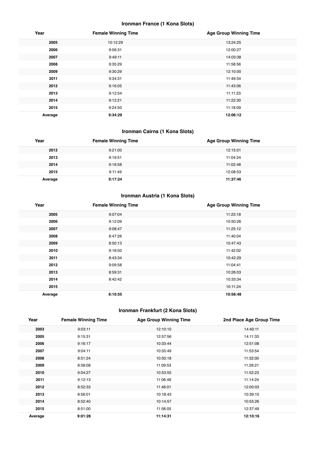#### **Ironman France (1 Kona Slots)**

| Year    | <b>Female Winning Time</b> | <b>Age Group Winning Time</b> |
|---------|----------------------------|-------------------------------|
| 2005    | 10:12:29                   | 13:24:25                      |
| 2006    | 9:56:31                    | 12:00:27                      |
| 2007    | 9:49:11                    | 14:03:38                      |
| 2008    | 9:35:29                    | 11:58:56                      |
| 2009    | 9:30:29                    | 12:10:00                      |
| 2011    | 9:34:31                    | 11:49:34                      |
| 2012    | 9:16:05                    | 11:43:06                      |
| 2013    | 9:12:54                    | 11:11:23                      |
| 2014    | 9:12:21                    | 11:22:30                      |
| 2015    | 9:24:50                    | 11:18:09                      |
| Average | 9:34:29                    | 12:06:12                      |

## **Ironman Cairns (1 Kona Slots)**

| Year    | <b>Female Winning Time</b> | <b>Age Group Winning Time</b> |
|---------|----------------------------|-------------------------------|
| 2012    | 9:21:00                    | 12:15:01                      |
| 2013    | 9:19:51                    | 11:04:24                      |
| 2014    | 9:16:58                    | 11:02:48                      |
| 2015    | 9:11:49                    | 12:08:53                      |
| Average | 9:17:24                    | 11:37:46                      |

## **Ironman Austria (1 Kona Slots)**

| Year    | <b>Female Winning Time</b> | <b>Age Group Winning Time</b> |
|---------|----------------------------|-------------------------------|
| 2005    | 9:07:04                    | 11:23:18                      |
| 2006    | 9:12:09                    | 10:50:26                      |
| 2007    | 9:08:47                    | 11:25:12                      |
| 2008    | 8:47:26                    | 11:40:04                      |
| 2009    | 8:50:13                    | 10:47:43                      |
| 2010    | 9:18:50                    | 11:42:02                      |
| 2011    | 8:43:34                    | 10:42:29                      |
| 2012    | 9:09:58                    | 11:04:41                      |
| 2013    | 8:59:31                    | 10:26:03                      |
| 2014    | 8:42:42                    | 10:33:34                      |
| 2015    |                            | 10:11:24                      |
| Average | 8:10:55                    | 10:58:48                      |

## **Ironman Frankfurt (2 Kona Slots)**

| Year    | <b>Female Winning Time</b> | <b>Age Group Winning Time</b> | 2nd Place Age Group Time |
|---------|----------------------------|-------------------------------|--------------------------|
| 2003    | 9:03:11                    | 12:10:10                      | 14:49:11                 |
| 2005    | 9:15:31                    | 12:57:56                      | 14:11:33                 |
| 2006    | 9:16:17                    | 10:33:44                      | 12:51:08                 |
| 2007    | 9:04:11                    | 10:55:49                      | 11:53:54                 |
| 2008    | 8:51:24                    | 10:50:18                      | 11:32:00                 |
| 2009    | 8:58:08                    | 11:09:53                      | 11:26:21                 |
| 2010    | 9:04:27                    | 10:53:55                      | 11:52:23                 |
| 2011    | 9:12:13                    | 11:06:49                      | 11:14:24                 |
| 2012    | 8:52:33                    | 11:46:01                      | 12:00:03                 |
| 2013    | 8:56:01                    | 10:18:43                      | 10:39:10                 |
| 2014    | 8:52:40                    | 10:14:57                      | 10:55:26                 |
| 2015    | 8:51:00                    | 11:56:05                      | 12:37:49                 |
| Average | 9:01:28                    | 11:14:31                      | 12:10:16                 |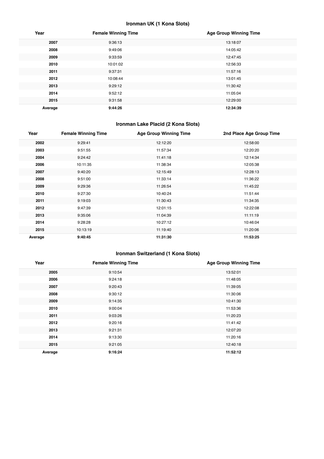#### **Ironman UK (1 Kona Slots)**

| Year    | <b>Female Winning Time</b> | <b>Age Group Winning Time</b> |
|---------|----------------------------|-------------------------------|
| 2007    | 9:36:13                    | 13:18:07                      |
| 2008    | 9:49:06                    | 14:05:42                      |
| 2009    | 9:33:59                    | 12:47:45                      |
| 2010    | 10:01:02                   | 12:56:33                      |
| 2011    | 9:37:31                    | 11:57:16                      |
| 2012    | 10:08:44                   | 13:01:45                      |
| 2013    | 9:29:12                    | 11:30:42                      |
| 2014    | 9:52:12                    | 11:05:04                      |
| 2015    | 9:31:58                    | 12:29:00                      |
| Average | 9:44:26                    | 12:34:39                      |

#### **Ironman Lake Placid (2 Kona Slots)**

| Year    | <b>Female Winning Time</b> | <b>Age Group Winning Time</b> | 2nd Place Age Group Time |
|---------|----------------------------|-------------------------------|--------------------------|
| 2002    | 9:29:41                    | 12:12:20                      | 12:58:00                 |
| 2003    | 9:51:55                    | 11:57:34                      | 12:20:20                 |
| 2004    | 9:24:42                    | 11:41:18                      | 12:14:34                 |
| 2006    | 10:11:35                   | 11:38:34                      | 12:05:38                 |
| 2007    | 9:40:20                    | 12:15:49                      | 12:28:13                 |
| 2008    | 9:51:00                    | 11:33:14                      | 11:36:22                 |
| 2009    | 9:29:36                    | 11:26:54                      | 11:45:22                 |
| 2010    | 9:27:30                    | 10:40:24                      | 11:51:44                 |
| 2011    | 9:19:03                    | 11:30:43                      | 11:34:35                 |
| 2012    | 9:47:39                    | 12:01:15                      | 12:22:08                 |
| 2013    | 9:35:06                    | 11:04:39                      | 11:11:19                 |
| 2014    | 9:28:28                    | 10:27:12                      | 10:46:04                 |
| 2015    | 10:13:19                   | 11:19:40                      | 11:20:06                 |
| Average | 9:40:45                    | 11:31:30                      | 11:53:25                 |

#### **Ironman Switzerland (1 Kona Slots)**

| Year    | <b>Female Winning Time</b> | <b>Age Group Winning Time</b> |
|---------|----------------------------|-------------------------------|
| 2005    | 9:10:54                    | 13:52:01                      |
| 2006    | 9:24:18                    | 11:48:05                      |
| 2007    | 9:20:43                    | 11:39:05                      |
| 2008    | 9:30:12                    | 11:30:06                      |
| 2009    | 9:14:35                    | 10:41:30                      |
| 2010    | 9:00:04                    | 11:53:36                      |
| 2011    | 9:03:26                    | 11:20:23                      |
| 2012    | 9:20:16                    | 11:41:42                      |
| 2013    | 9:21:31                    | 12:07:20                      |
| 2014    | 9:13:30                    | 11:20:16                      |
| 2015    | 9:21:05                    | 12:40:18                      |
| Average | 9:16:24                    | 11:52:12                      |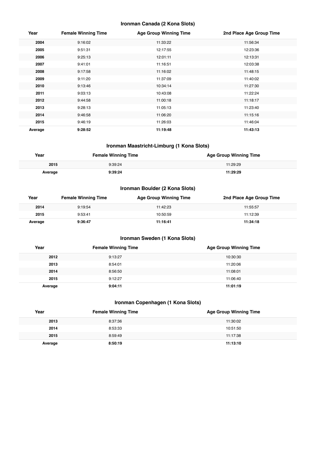#### **Ironman Canada (2 Kona Slots)**

| Year    | <b>Female Winning Time</b> | <b>Age Group Winning Time</b> | 2nd Place Age Group Time |
|---------|----------------------------|-------------------------------|--------------------------|
| 2004    | 9:16:02                    | 11:33:22                      | 11:56:34                 |
| 2005    | 9:51:31                    | 12:17:55                      | 12:23:36                 |
| 2006    | 9:25:13                    | 12:01:11                      | 12:13:31                 |
| 2007    | 9:41:01                    | 11:16:51                      | 12:03:38                 |
| 2008    | 9:17:58                    | 11:16:02                      | 11:48:15                 |
| 2009    | 9:11:20                    | 11:37:09                      | 11:40:02                 |
| 2010    | 9:13:46                    | 10:34:14                      | 11:27:30                 |
| 2011    | 9:03:13                    | 10:43:08                      | 11:22:24                 |
| 2012    | 9:44:58                    | 11:00:18                      | 11:18:17                 |
| 2013    | 9:28:13                    | 11:05:13                      | 11:23:40                 |
| 2014    | 9:46:58                    | 11:06:20                      | 11:15:16                 |
| 2015    | 9:46:19                    | 11:26:03                      | 11:46:04                 |
| Average | 9:28:52                    | 11:19:48                      | 11:43:13                 |

#### **Ironman Maastricht-Limburg (1 Kona Slots)**

| Year    | <b>Female Winning Time</b> | <b>Age Group Winning Time</b> |
|---------|----------------------------|-------------------------------|
| 2015    | 9:39:24                    | 11:29:29                      |
| Average | a - 30 - 24                | 11:29:29                      |

#### **Ironman Boulder (2 Kona Slots)**

| Year    | <b>Female Winning Time</b> | <b>Age Group Winning Time</b> | 2nd Place Age Group Time |
|---------|----------------------------|-------------------------------|--------------------------|
| 2014    | 9:19:54                    | 11:42:23                      | 11:55:57                 |
| 2015    | 9:53:41                    | 10:50:59                      | 11:12:39                 |
| Average | 9:36:47                    | 11:16:41                      | 11:34:18                 |

#### **Ironman Sweden (1 Kona Slots)**

| Year    | <b>Female Winning Time</b> | <b>Age Group Winning Time</b> |
|---------|----------------------------|-------------------------------|
| 2012    | 9:13:27                    | 10:30:30                      |
| 2013    | 8:54:01                    | 11:20:06                      |
| 2014    | 8:56:50                    | 11:08:01                      |
| 2015    | 9:12:27                    | 11:06:40                      |
| Average | 9:04:11                    | 11:01:19                      |

#### **Ironman Copenhagen (1 Kona Slots)**

| Year    | <b>Female Winning Time</b> | <b>Age Group Winning Time</b> |
|---------|----------------------------|-------------------------------|
| 2013    | 8:37:36                    | 11:30:02                      |
| 2014    | 8:53:33                    | 10:51:50                      |
| 2015    | 8:59:49                    | 11:17:38                      |
| Average | 8:50:19                    | 11:13:10                      |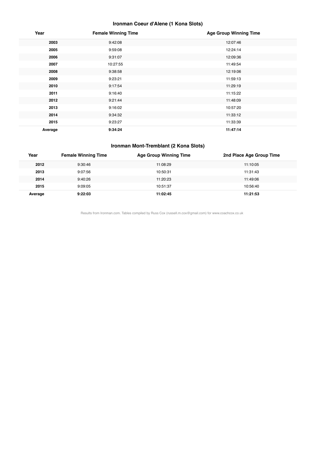#### **Ironman Coeur d'Alene (1 Kona Slots)**

| Year    | <b>Female Winning Time</b> | <b>Age Group Winning Time</b> |
|---------|----------------------------|-------------------------------|
| 2003    | 9:42:08                    | 12:07:46                      |
| 2005    | 9:59:08                    | 12:24:14                      |
| 2006    | 9:31:07                    | 12:09:36                      |
| 2007    | 10:27:55                   | 11:49:54                      |
| 2008    | 9:38:58                    | 12:19:06                      |
| 2009    | 9:23:21                    | 11:59:13                      |
| 2010    | 9:17:54                    | 11:29:19                      |
| 2011    | 9:16:40                    | 11:15:22                      |
| 2012    | 9:21:44                    | 11:48:09                      |
| 2013    | 9:16:02                    | 10:57:20                      |
| 2014    | 9:34:32                    | 11:33:12                      |
| 2015    | 9:23:27                    | 11:33:39                      |
| Average | 9:34:24                    | 11:47:14                      |

#### **Ironman Mont-Tremblant (2 Kona Slots)**

| Year    | <b>Female Winning Time</b> | Age Group Winning Time | 2nd Place Age Group Time |
|---------|----------------------------|------------------------|--------------------------|
| 2012    | 9:30:46                    | 11:08:29               | 11:10:05                 |
| 2013    | 9:07:56                    | 10:50:31               | 11:31:43                 |
| 2014    | 9:40:26                    | 11:20:23               | 11:49:06                 |
| 2015    | 9:09:05                    | 10:51:37               | 10:56:40                 |
| Average | 9:22:03                    | 11:02:45               | 11:21:53                 |

Results from Ironman.com. Tables compiled by Russ Cox (russell.m.cox@gmail.com) for www.coachcox.co.uk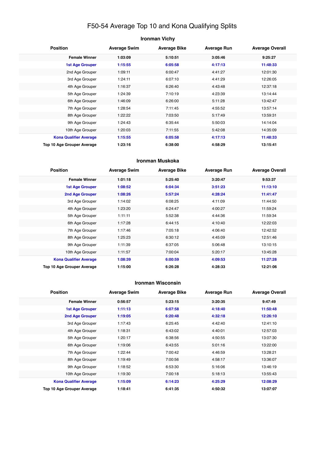## F50-54 Average Top 10 and Kona Qualifying Splits

| <b>Ironman Vichy</b>          |                     |                     |                    |                        |
|-------------------------------|---------------------|---------------------|--------------------|------------------------|
| <b>Position</b>               | <b>Average Swim</b> | <b>Average Bike</b> | <b>Average Run</b> | <b>Average Overall</b> |
| <b>Female Winner</b>          | 1:03:09             | 5:10:51             | 3:05:46            | 9:25:27                |
| <b>1st Age Grouper</b>        | 1:15:55             | 6:05:58             | 4:17:13            | 11:48:33               |
| 2nd Age Grouper               | 1:09:11             | 6:00:47             | 4:41:27            | 12:01:30               |
| 3rd Age Grouper               | 1:24:11             | 6:07:10             | 4:41:29            | 12:26:05               |
| 4th Age Grouper               | 1:16:37             | 6:26:40             | 4:43:48            | 12:37:18               |
| 5th Age Grouper               | 1:24:39             | 7:10:19             | 4:23:39            | 13:14:44               |
| 6th Age Grouper               | 1:46:09             | 6:26:00             | 5:11:28            | 13:42:47               |
| 7th Age Grouper               | 1:28:54             | 7:11:45             | 4:55:52            | 13:57:14               |
| 8th Age Grouper               | 1:22:22             | 7:03:50             | 5:17:49            | 13:59:31               |
| 9th Age Grouper               | 1:24:43             | 6:35:44             | 5:50:03            | 14:14:04               |
| 10th Age Grouper              | 1:20:03             | 7:11:55             | 5:42:08            | 14:35:09               |
| <b>Kona Qualifier Average</b> | 1:15:55             | 6:05:58             | 4:17:13            | 11:48:33               |
| Top 10 Age Grouper Average    | 1:23:16             | 6:38:00             | 4:58:29            | 13:15:41               |

#### **Ironman Muskoka**

| <b>Position</b>               | <b>Average Swim</b> | <b>Average Bike</b> | <b>Average Run</b> | <b>Average Overall</b> |
|-------------------------------|---------------------|---------------------|--------------------|------------------------|
| <b>Female Winner</b>          | 1:01:18             | 5:25:40             | 3:20:47            | 9:53:37                |
| <b>1st Age Grouper</b>        | 1:08:52             | 6:04:34             | 3:51:23            | 11:13:10               |
| <b>2nd Age Grouper</b>        | 1:08:26             | 5:57:24             | 4:28:24            | 11:41:47               |
| 3rd Age Grouper               | 1:14:02             | 6:08:25             | 4:11:09            | 11:44:50               |
| 4th Age Grouper               | 1:23:20             | 6:24:47             | 4:00:27            | 11:59:24               |
| 5th Age Grouper               | 1:11:11             | 5:52:38             | 4:44:36            | 11:59:34               |
| 6th Age Grouper               | 1:17:28             | 6:44:15             | 4:10:40            | 12:22:03               |
| 7th Age Grouper               | 1:17:46             | 7:05:18             | 4:06:40            | 12:42:52               |
| 8th Age Grouper               | 1:25:23             | 6:30:12             | 4:45:09            | 12:51:46               |
| 9th Age Grouper               | 1:11:39             | 6:37:05             | 5:06:48            | 13:10:15               |
| 10th Age Grouper              | 1:11:57             | 7:00:04             | 5:20:17            | 13:45:28               |
| <b>Kona Qualifier Average</b> | 1:08:39             | 6:00:59             | 4:09:53            | 11:27:28               |
| Top 10 Age Grouper Average    | 1:15:00             | 6:26:28             | 4:28:33            | 12:21:06               |

#### **Ironman Wisconsin**

| <b>Position</b>               | <b>Average Swim</b> | <b>Average Bike</b> | <b>Average Run</b> | <b>Average Overall</b> |
|-------------------------------|---------------------|---------------------|--------------------|------------------------|
| <b>Female Winner</b>          | 0:56:57             | 5:23:15             | 3:20:35            | 9:47:49                |
| 1st Age Grouper               | 1:11:13             | 6:07:58             | 4:18:40            | 11:50:48               |
| 2nd Age Grouper               | 1:19:05             | 6:20:48             | 4:32:18            | 12:26:10               |
| 3rd Age Grouper               | 1:17:43             | 6:25:45             | 4:42:40            | 12:41:10               |
| 4th Age Grouper               | 1:18:31             | 6:43:02             | 4:40:01            | 12:57:03               |
| 5th Age Grouper               | 1:20:17             | 6:38:56             | 4:50:55            | 13:07:30               |
| 6th Age Grouper               | 1:19:06             | 6:43:55             | 5:01:16            | 13:22:00               |
| 7th Age Grouper               | 1:22:44             | 7:00:42             | 4:46:59            | 13:28:21               |
| 8th Age Grouper               | 1:19:49             | 7:00:56             | 4:58:17            | 13:36:07               |
| 9th Age Grouper               | 1:18:52             | 6:53:30             | 5:16:06            | 13:46:19               |
| 10th Age Grouper              | 1:19:30             | 7:00:18             | 5:18:13            | 13:55:43               |
| <b>Kona Qualifier Average</b> | 1:15:09             | 6:14:23             | 4:25:29            | 12:08:29               |
| Top 10 Age Grouper Average    | 1:18:41             | 6:41:35             | 4:50:32            | 13:07:07               |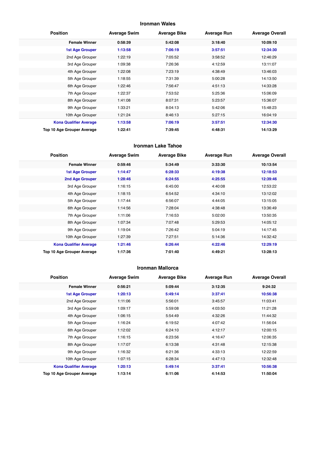#### **Ironman Wales**

| <b>Position</b>               | <b>Average Swim</b> | <b>Average Bike</b> | <b>Average Run</b> | <b>Average Overall</b> |
|-------------------------------|---------------------|---------------------|--------------------|------------------------|
| <b>Female Winner</b>          | 0:58:39             | 5:42:08             | 3:18:40            | 10:09:10               |
| 1st Age Grouper               | 1:13:58             | 7:06:19             | 3:57:51            | 12:34:30               |
| 2nd Age Grouper               | 1:22:19             | 7:05:52             | 3:58:52            | 12:46:29               |
| 3rd Age Grouper               | 1:09:38             | 7:26:36             | 4:12:59            | 13:11:07               |
| 4th Age Grouper               | 1:22:08             | 7:23:19             | 4:38:49            | 13:46:03               |
| 5th Age Grouper               | 1:18:55             | 7:31:39             | 5:00:28            | 14:13:50               |
| 6th Age Grouper               | 1:22:46             | 7:56:47             | 4:51:13            | 14:33:28               |
| 7th Age Grouper               | 1:22:37             | 7:53:52             | 5:25:36            | 15:06:09               |
| 8th Age Grouper               | 1:41:08             | 8:07:31             | 5:23:57            | 15:36:07               |
| 9th Age Grouper               | 1:33:21             | 8:04:13             | 5:42:06            | 15:48:23               |
| 10th Age Grouper              | 1:21:24             | 8:46:13             | 5:27:15            | 16:04:19               |
| <b>Kona Qualifier Average</b> | 1:13:58             | 7:06:19             | 3:57:51            | 12:34:30               |
| Top 10 Age Grouper Average    | 1:22:41             | 7:39:45             | 4:48:31            | 14:13:29               |

#### **Ironman Lake Tahoe**

| <b>Position</b>               | <b>Average Swim</b> | <b>Average Bike</b> | <b>Average Run</b> | <b>Average Overall</b> |
|-------------------------------|---------------------|---------------------|--------------------|------------------------|
| <b>Female Winner</b>          | 0:59:46             | 5:34:49             | 3:33:30            | 10:13:54               |
| 1st Age Grouper               | 1:14:47             | 6:28:33             | 4:19:38            | 12:18:53               |
| 2nd Age Grouper               | 1:28:46             | 6:24:55             | 4:25:55            | 12:39:46               |
| 3rd Age Grouper               | 1:16:15             | 6:45:00             | 4:40:08            | 12:53:22               |
| 4th Age Grouper               | 1:18:15             | 6:54:52             | 4:34:10            | 13:12:02               |
| 5th Age Grouper               | 1:17:44             | 6:56:07             | 4:44:05            | 13:15:05               |
| 6th Age Grouper               | 1:14:56             | 7:28:04             | 4:38:48            | 13:36:49               |
| 7th Age Grouper               | 1:11:06             | 7:16:53             | 5:02:00            | 13:50:35               |
| 8th Age Grouper               | 1:07:34             | 7:07:48             | 5:29:53            | 14:05:12               |
| 9th Age Grouper               | 1:19:04             | 7:26:42             | 5:04:19            | 14:17:45               |
| 10th Age Grouper              | 1:27:39             | 7:27:51             | 5:14:36            | 14:32:42               |
| <b>Kona Qualifier Average</b> | 1:21:46             | 6:26:44             | 4:22:46            | 12:29:19               |
| Top 10 Age Grouper Average    | 1:17:36             | 7:01:40             | 4:49:21            | 13:28:13               |

#### **Ironman Mallorca**

| <b>Position</b>               | <b>Average Swim</b> | <b>Average Bike</b> | <b>Average Run</b> | <b>Average Overall</b> |
|-------------------------------|---------------------|---------------------|--------------------|------------------------|
| <b>Female Winner</b>          | 0:56:21             | 5:09:44             | 3:12:35            | 9:24:32                |
| <b>1st Age Grouper</b>        | 1:20:13             | 5:49:14             | 3:37:41            | 10:56:38               |
| 2nd Age Grouper               | 1:11:06             | 5:56:01             | 3:45:57            | 11:03:41               |
| 3rd Age Grouper               | 1:09:17             | 5:59:08             | 4:03:50            | 11:21:28               |
| 4th Age Grouper               | 1:06:15             | 5:54:49             | 4:32:26            | 11:44:32               |
| 5th Age Grouper               | 1:16:24             | 6:19:52             | 4:07:42            | 11:56:04               |
| 6th Age Grouper               | 1:12:02             | 6:24:10             | 4:12:17            | 12:00:15               |
| 7th Age Grouper               | 1:16:15             | 6:23:56             | 4:16:47            | 12:06:35               |
| 8th Age Grouper               | 1:17:07             | 6:13:38             | 4:31:48            | 12:15:38               |
| 9th Age Grouper               | 1:16:32             | 6:21:36             | 4:33:13            | 12:22:59               |
| 10th Age Grouper              | 1:07:15             | 6:28:34             | 4:47:13            | 12:32:48               |
| <b>Kona Qualifier Average</b> | 1:20:13             | 5:49:14             | 3:37:41            | 10:56:38               |
| Top 10 Age Grouper Average    | 1:13:14             | 6:11:06             | 4:14:53            | 11:50:04               |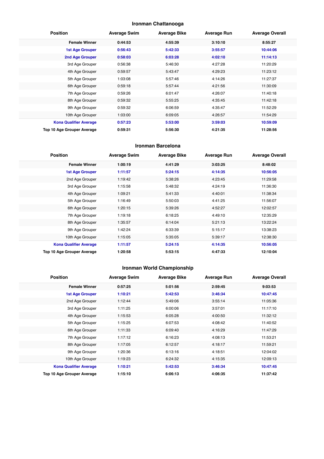#### **Ironman Chattanooga**

| <b>Position</b>               | <b>Average Swim</b> | <b>Average Bike</b> | <b>Average Run</b> | <b>Average Overall</b> |
|-------------------------------|---------------------|---------------------|--------------------|------------------------|
| <b>Female Winner</b>          | 0:44:53             | 4:55:39             | 3:10:10            | 8:55:27                |
| <b>1st Age Grouper</b>        | 0:56:43             | 5:42:33             | 3:55:57            | 10:44:06               |
| 2nd Age Grouper               | 0:58:03             | 6:03:28             | 4:02:10            | 11:14:13               |
| 3rd Age Grouper               | 0:56:38             | 5:46:30             | 4:27:28            | 11:20:29               |
| 4th Age Grouper               | 0:59:57             | 5:43:47             | 4:29:23            | 11:23:12               |
| 5th Age Grouper               | 1:03:08             | 5:57:46             | 4:14:26            | 11:27:37               |
| 6th Age Grouper               | 0:59:18             | 5:57:44             | 4:21:56            | 11:30:09               |
| 7th Age Grouper               | 0:59:26             | 6:01:47             | 4:26:07            | 11:40:18               |
| 8th Age Grouper               | 0:59:32             | 5:55:25             | 4:35:45            | 11:42:18               |
| 9th Age Grouper               | 0:59:32             | 6:06:59             | 4:35:47            | 11:52:29               |
| 10th Age Grouper              | 1:03:00             | 6:09:05             | 4:26:57            | 11:54:29               |
| <b>Kona Qualifier Average</b> | 0:57:23             | 5:53:00             | 3:59:03            | 10:59:09               |
| Top 10 Age Grouper Average    | 0:59:31             | 5:56:30             | 4:21:35            | 11:28:56               |

#### **Ironman Barcelona**

| <b>Position</b>               | <b>Average Swim</b> | <b>Average Bike</b> | <b>Average Run</b> | <b>Average Overall</b> |
|-------------------------------|---------------------|---------------------|--------------------|------------------------|
| <b>Female Winner</b>          | 1:00:19             | 4:41:29             | 3:03:25            | 8:48:02                |
| <b>1st Age Grouper</b>        | 1:11:57             | 5:24:15             | 4:14:35            | 10:56:05               |
| 2nd Age Grouper               | 1:19:42             | 5:38:26             | 4:23:45            | 11:29:58               |
| 3rd Age Grouper               | 1:15:58             | 5:48:32             | 4:24:19            | 11:36:30               |
| 4th Age Grouper               | 1:09:21             | 5:41:33             | 4:40:01            | 11:38:34               |
| 5th Age Grouper               | 1:16:49             | 5:50:03             | 4:41:25            | 11:56:07               |
| 6th Age Grouper               | 1:20:15             | 5:39:26             | 4:52:27            | 12:02:57               |
| 7th Age Grouper               | 1:19:18             | 6:18:25             | 4:49:10            | 12:35:29               |
| 8th Age Grouper               | 1:35:57             | 6:14:04             | 5:21:13            | 13:22:24               |
| 9th Age Grouper               | 1:42:24             | 6:33:39             | 5:15:17            | 13:38:23               |
| 10th Age Grouper              | 1:15:05             | 5:35:05             | 5:39:17            | 12:38:30               |
| <b>Kona Qualifier Average</b> | 1:11:57             | 5:24:15             | 4:14:35            | 10:56:05               |
| Top 10 Age Grouper Average    | 1:20:58             | 5:53:15             | 4:47:33            | 12:10:04               |

## **Ironman World Championship**

| <b>Position</b>               | <b>Average Swim</b> | <b>Average Bike</b> | <b>Average Run</b> | <b>Average Overall</b> |
|-------------------------------|---------------------|---------------------|--------------------|------------------------|
| <b>Female Winner</b>          | 0:57:25             | 5:01:56             | 2:59:45            | 9:03:53                |
| <b>1st Age Grouper</b>        | 1:10:21             | 5:42:53             | 3:46:34            | 10:47:45               |
| 2nd Age Grouper               | 1:12:44             | 5:49:06             | 3:55:14            | 11:05:36               |
| 3rd Age Grouper               | 1:11:25             | 6:00:06             | 3:57:01            | 11:17:10               |
| 4th Age Grouper               | 1:15:53             | 6:05:28             | 4:00:50            | 11:32:12               |
| 5th Age Grouper               | 1:15:25             | 6:07:53             | 4:08:42            | 11:40:52               |
| 6th Age Grouper               | 1:11:33             | 6:09:40             | 4:16:29            | 11:47:29               |
| 7th Age Grouper               | 1:17:12             | 6:16:23             | 4:08:13            | 11:53:21               |
| 8th Age Grouper               | 1:17:05             | 6:12:57             | 4:18:17            | 11:59:21               |
| 9th Age Grouper               | 1:20:36             | 6:13:16             | 4:18:51            | 12:04:02               |
| 10th Age Grouper              | 1:19:23             | 6:24:32             | 4:15:35            | 12:09:13               |
| <b>Kona Qualifier Average</b> | 1:10:21             | 5:42:53             | 3:46:34            | 10:47:45               |
| Top 10 Age Grouper Average    | 1:15:10             | 6:06:13             | 4:06:35            | 11:37:42               |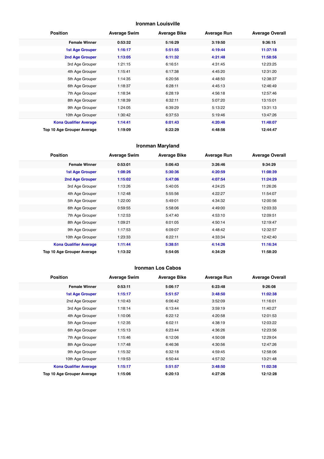#### **Ironman Louisville**

| <b>Position</b>               | <b>Average Swim</b> | <b>Average Bike</b> | <b>Average Run</b> | <b>Average Overall</b> |
|-------------------------------|---------------------|---------------------|--------------------|------------------------|
| <b>Female Winner</b>          | 0:53:32             | 5:16:29             | 3:19:50            | 9:36:15                |
| <b>1st Age Grouper</b>        | 1:16:17             | 5:51:55             | 4:19:44            | 11:37:18               |
| 2nd Age Grouper               | 1:13:05             | 6:11:32             | 4:21:48            | 11:58:56               |
| 3rd Age Grouper               | 1:21:15             | 6:16:51             | 4:31:45            | 12:23:25               |
| 4th Age Grouper               | 1:15:41             | 6:17:38             | 4:45:20            | 12:31:20               |
| 5th Age Grouper               | 1:14:35             | 6:20:56             | 4:48:50            | 12:38:37               |
| 6th Age Grouper               | 1:18:37             | 6:28:11             | 4:45:13            | 12:46:49               |
| 7th Age Grouper               | 1:18:34             | 6:28:19             | 4:56:18            | 12:57:46               |
| 8th Age Grouper               | 1:18:39             | 6:32:11             | 5:07:20            | 13:15:01               |
| 9th Age Grouper               | 1:24:05             | 6:39:29             | 5:13:22            | 13:31:13               |
| 10th Age Grouper              | 1:30:42             | 6:37:53             | 5:19:46            | 13:47:26               |
| <b>Kona Qualifier Average</b> | 1:14:41             | 6:01:43             | 4:20:46            | 11:48:07               |
| Top 10 Age Grouper Average    | 1:19:09             | 6:22:29             | 4:48:56            | 12:44:47               |

#### **Ironman Maryland**

| <b>Position</b>               | <b>Average Swim</b> | <b>Average Bike</b> | <b>Average Run</b> | <b>Average Overall</b> |
|-------------------------------|---------------------|---------------------|--------------------|------------------------|
| <b>Female Winner</b>          | 0:53:01             | 5:06:43             | 3:26:46            | 9:34:29                |
| <b>1st Age Grouper</b>        | 1:08:26             | 5:30:36             | 4:20:59            | 11:08:39               |
| 2nd Age Grouper               | 1:15:02             | 5:47:06             | 4:07:54            | 11:24:29               |
| 3rd Age Grouper               | 1:13:26             | 5:40:05             | 4:24:25            | 11:26:26               |
| 4th Age Grouper               | 1:12:48             | 5:55:56             | 4:22:27            | 11:54:07               |
| 5th Age Grouper               | 1:22:00             | 5:49:01             | 4:34:32            | 12:00:56               |
| 6th Age Grouper               | 0:59:55             | 5:58:06             | 4:49:00            | 12:03:33               |
| 7th Age Grouper               | 1:12:53             | 5:47:40             | 4:53:10            | 12:09:51               |
| 8th Age Grouper               | 1:09:21             | 6:01:05             | 4:50:14            | 12:19:47               |
| 9th Age Grouper               | 1:17:53             | 6:09:07             | 4:48:42            | 12:32:57               |
| 10th Age Grouper              | 1:23:33             | 6:22:11             | 4:33:34            | 12:42:40               |
| <b>Kona Qualifier Average</b> | 1:11:44             | 5:38:51             | 4:14:26            | 11:16:34               |
| Top 10 Age Grouper Average    | 1:13:32             | 5:54:05             | 4:34:29            | 11:58:20               |

#### **Ironman Los Cabos**

| <b>Position</b>               | <b>Average Swim</b> | <b>Average Bike</b> | <b>Average Run</b> | <b>Average Overall</b> |
|-------------------------------|---------------------|---------------------|--------------------|------------------------|
| <b>Female Winner</b>          | 0:53:11             | 5:06:17             | 6:23:48            | 9:26:08                |
| <b>1st Age Grouper</b>        | 1:15:17             | 5:51:57             | 3:48:50            | 11:02:38               |
| 2nd Age Grouper               | 1:10:43             | 6:06:42             | 3:52:09            | 11:16:01               |
| 3rd Age Grouper               | 1:18:14             | 6:13:44             | 3:59:19            | 11:40:27               |
| 4th Age Grouper               | 1:10:06             | 6:22:12             | 4:20:58            | 12:01:53               |
| 5th Age Grouper               | 1:12:35             | 6:02:11             | 4:38:19            | 12:03:22               |
| 6th Age Grouper               | 1:15:13             | 6:23:44             | 4:36:26            | 12:23:56               |
| 7th Age Grouper               | 1:15:46             | 6:12:06             | 4:50:08            | 12:29:04               |
| 8th Age Grouper               | 1:17:48             | 6:46:36             | 4:30:56            | 12:47:26               |
| 9th Age Grouper               | 1:15:32             | 6:32:18             | 4:59:45            | 12:58:06               |
| 10th Age Grouper              | 1:19:53             | 6:50:44             | 4:57:32            | 13:21:48               |
| <b>Kona Qualifier Average</b> | 1:15:17             | 5:51:57             | 3:48:50            | 11:02:38               |
| Top 10 Age Grouper Average    | 1:15:06             | 6:20:13             | 4:27:26            | 12:12:28               |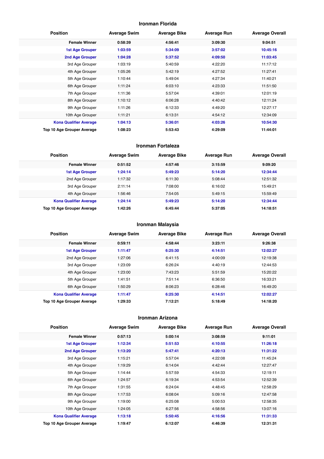#### **Ironman Florida**

| <b>Position</b>               | <b>Average Swim</b> | <b>Average Bike</b> | <b>Average Run</b> | <b>Average Overall</b> |
|-------------------------------|---------------------|---------------------|--------------------|------------------------|
| <b>Female Winner</b>          | 0:58:39             | 4:56:41             | 3:09:30            | 9:04:51                |
| <b>1st Age Grouper</b>        | 1:03:59             | 5:34:09             | 3:57:02            | 10:45:16               |
| <b>2nd Age Grouper</b>        | 1:04:28             | 5:37:52             | 4:09:50            | 11:03:45               |
| 3rd Age Grouper               | 1:03:19             | 5:40:59             | 4:22:20            | 11:17:12               |
| 4th Age Grouper               | 1:05:26             | 5:42:19             | 4:27:52            | 11:27:41               |
| 5th Age Grouper               | 1:10:44             | 5:49:04             | 4:27:34            | 11:40:21               |
| 6th Age Grouper               | 1:11:24             | 6:03:10             | 4:23:33            | 11:51:50               |
| 7th Age Grouper               | 1:11:36             | 5:57:04             | 4:39:01            | 12:01:19               |
| 8th Age Grouper               | 1:10:12             | 6:06:28             | 4:40:42            | 12:11:24               |
| 9th Age Grouper               | 1:11:26             | 6:12:33             | 4:49:20            | 12:27:17               |
| 10th Age Grouper              | 1:11:21             | 6:13:31             | 4:54:12            | 12:34:09               |
| <b>Kona Qualifier Average</b> | 1:04:13             | 5:36:01             | 4:03:26            | 10:54:30               |
| Top 10 Age Grouper Average    | 1:08:23             | 5:53:43             | 4:29:09            | 11:44:01               |

#### **Ironman Fortaleza**

| <b>Position</b>               | <b>Average Swim</b> | <b>Average Bike</b> | <b>Average Run</b> | <b>Average Overall</b> |
|-------------------------------|---------------------|---------------------|--------------------|------------------------|
| <b>Female Winner</b>          | 0:51:52             | 4:57:46             | 3:15:59            | 9:09:20                |
| <b>1st Age Grouper</b>        | 1:24:14             | 5:49:23             | 5:14:20            | 12:34:44               |
| 2nd Age Grouper               | 1:17:32             | 6:11:30             | 5:08:44            | 12:51:32               |
| 3rd Age Grouper               | 2:11:14             | 7:08:00             | 6:16:02            | 15:49:21               |
| 4th Age Grouper               | 1:56:46             | 7:54:05             | 5:49:15            | 15:59:49               |
| <b>Kona Qualifier Average</b> | 1:24:14             | 5:49:23             | 5:14:20            | 12:34:44               |
| Top 10 Age Grouper Average    | 1:42:26             | 6:45:44             | 5:37:05            | 14:18:51               |

#### **Ironman Malaysia**

| <b>Position</b>               | <b>Average Swim</b> | <b>Average Bike</b> | <b>Average Run</b> | <b>Average Overall</b> |
|-------------------------------|---------------------|---------------------|--------------------|------------------------|
| <b>Female Winner</b>          | 0:59:11             | 4:58:44             | 3:23:11            | 9:26:38                |
| <b>1st Age Grouper</b>        | 1:11:47             | 6:25:30             | 4:14:51            | 12:02:27               |
| 2nd Age Grouper               | 1:27:06             | 6:41:15             | 4:00:09            | 12:19:38               |
| 3rd Age Grouper               | 1:23:09             | 6:26:24             | 4:40:19            | 12:44:53               |
| 4th Age Grouper               | 1:23:00             | 7:43:23             | 5:51:59            | 15:20:22               |
| 5th Age Grouper               | 1:41:51             | 7:51:14             | 6:36:50            | 16:33:21               |
| 6th Age Grouper               | 1:50:29             | 8:06:23             | 6:28:46            | 16:49:20               |
| <b>Kona Qualifier Average</b> | 1:11:47             | 6:25:30             | 4:14:51            | 12:02:27               |
| Top 10 Age Grouper Average    | 1:29:33             | 7:12:21             | 5:18:49            | 14:18:20               |

#### **Ironman Arizona**

| <b>Position</b>               | <b>Average Swim</b> | <b>Average Bike</b> | <b>Average Run</b> | <b>Average Overall</b> |
|-------------------------------|---------------------|---------------------|--------------------|------------------------|
| <b>Female Winner</b>          | 0:57:13             | 5:00:14             | 3:08:59            | 9:11:01                |
| <b>1st Age Grouper</b>        | 1:12:34             | 5:51:53             | 4:10:55            | 11:26:18               |
| 2nd Age Grouper               | 1:13:20             | 5:47:41             | 4:20:13            | 11:31:22               |
| 3rd Age Grouper               | 1:15:21             | 5:57:04             | 4:22:08            | 11:45:24               |
| 4th Age Grouper               | 1:19:29             | 6:14:04             | 4:42:44            | 12:27:47               |
| 5th Age Grouper               | 1:14:44             | 5:57:59             | 4:54:33            | 12:19:11               |
| 6th Age Grouper               | 1:24:57             | 6:19:34             | 4:53:54            | 12:52:39               |
| 7th Age Grouper               | 1:31:55             | 6:24:04             | 4:48:45            | 12:58:29               |
| 8th Age Grouper               | 1:17:53             | 6:08:04             | 5:09:16            | 12:47:58               |
| 9th Age Grouper               | 1:19:00             | 6:25:08             | 5:00:53            | 12:58:35               |
| 10th Age Grouper              | 1:24:05             | 6:27:56             | 4:58:56            | 13:07:16               |
| <b>Kona Qualifier Average</b> | 1:13:18             | 5:50:45             | 4:16:56            | 11:31:33               |
| Top 10 Age Grouper Average    | 1:19:47             | 6:12:07             | 4:46:39            | 12:31:31               |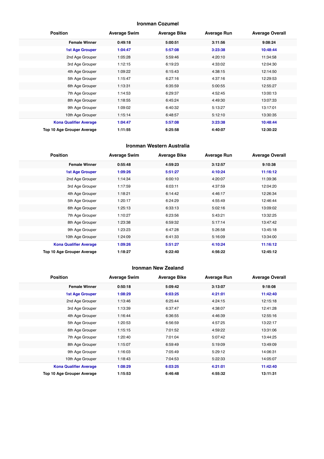#### **Ironman Cozumel**

| <b>Position</b>               | <b>Average Swim</b> | <b>Average Bike</b> | <b>Average Run</b> | <b>Average Overall</b> |
|-------------------------------|---------------------|---------------------|--------------------|------------------------|
| <b>Female Winner</b>          | 0:49:18             | 5:00:51             | 3:11:56            | 9:08:24                |
| <b>1st Age Grouper</b>        | 1:04:47             | 5:57:08             | 3:23:38            | 10:48:44               |
| 2nd Age Grouper               | 1:05:28             | 5:59:46             | 4:20:10            | 11:34:58               |
| 3rd Age Grouper               | 1:12:15             | 6:19:23             | 4:33:02            | 12:04:30               |
| 4th Age Grouper               | 1:09:22             | 6:15:43             | 4:38:15            | 12:14:50               |
| 5th Age Grouper               | 1:15:47             | 6:27:16             | 4:37:16            | 12:29:53               |
| 6th Age Grouper               | 1:13:31             | 6:35:59             | 5:00:55            | 12:55:27               |
| 7th Age Grouper               | 1:14:53             | 6:29:37             | 4:52:45            | 13:00:13               |
| 8th Age Grouper               | 1:18:55             | 6:45:24             | 4:49:30            | 13:07:33               |
| 9th Age Grouper               | 1:09:02             | 6:40:32             | 5:13:27            | 13:17:01               |
| 10th Age Grouper              | 1:15:14             | 6:48:57             | 5:12:10            | 13:30:35               |
| <b>Kona Qualifier Average</b> | 1:04:47             | 5:57:08             | 3:23:38            | 10:48:44               |
| Top 10 Age Grouper Average    | 1:11:55             | 6:25:58             | 4:40:07            | 12:30:22               |

#### **Ironman Western Australia**

| <b>Position</b>               | <b>Average Swim</b> | <b>Average Bike</b> | <b>Average Run</b> | <b>Average Overall</b> |
|-------------------------------|---------------------|---------------------|--------------------|------------------------|
| <b>Female Winner</b>          | 0:55:48             | 4:59:23             | 3:12:57            | 9:10:38                |
| <b>1st Age Grouper</b>        | 1:09:26             | 5:51:27             | 4:10:24            | 11:16:12               |
| 2nd Age Grouper               | 1:14:34             | 6:00:10             | 4:20:07            | 11:39:36               |
| 3rd Age Grouper               | 1:17:59             | 6:03:11             | 4:37:59            | 12:04:20               |
| 4th Age Grouper               | 1:18:21             | 6:14:42             | 4:46:17            | 12:26:34               |
| 5th Age Grouper               | 1:20:17             | 6:24:29             | 4:55:49            | 12:46:44               |
| 6th Age Grouper               | 1:25:13             | 6:33:13             | 5:02:16            | 13:09:02               |
| 7th Age Grouper               | 1:10:27             | 6:23:56             | 5:43:21            | 13:32:25               |
| 8th Age Grouper               | 1:23:38             | 6:59:32             | 5:17:14            | 13:47:42               |
| 9th Age Grouper               | 1:23:23             | 6:47:28             | 5:26:58            | 13:45:18               |
| 10th Age Grouper              | 1:24:09             | 6:41:33             | 5:16:09            | 13:34:00               |
| <b>Kona Qualifier Average</b> | 1:09:26             | 5:51:27             | 4:10:24            | 11:16:12               |
| Top 10 Age Grouper Average    | 1:18:27             | 6:22:40             | 4:56:22            | 12:45:12               |

#### **Ironman New Zealand**

| <b>Position</b>               | <b>Average Swim</b> | <b>Average Bike</b> | <b>Average Run</b> | <b>Average Overall</b> |
|-------------------------------|---------------------|---------------------|--------------------|------------------------|
| <b>Female Winner</b>          | 0:50:18             | 5:09:42             | 3:13:07            | 9:18:08                |
| <b>1st Age Grouper</b>        | 1:08:29             | 6:03:25             | 4:21:01            | 11:42:40               |
| 2nd Age Grouper               | 1:13:46             | 6:25:44             | 4:24:15            | 12:15:18               |
| 3rd Age Grouper               | 1:13:39             | 6:37:47             | 4:38:07            | 12:41:28               |
| 4th Age Grouper               | 1:16:44             | 6:36:55             | 4:46:39            | 12:55:16               |
| 5th Age Grouper               | 1:20:53             | 6:56:59             | 4:57:25            | 13:22:17               |
| 6th Age Grouper               | 1:15:15             | 7:01:52             | 4:59:22            | 13:31:06               |
| 7th Age Grouper               | 1:20:40             | 7:01:04             | 5:07:42            | 13:44:25               |
| 8th Age Grouper               | 1:15:07             | 6:59:49             | 5:19:09            | 13:49:09               |
| 9th Age Grouper               | 1:16:03             | 7:05:49             | 5:29:12            | 14:06:31               |
| 10th Age Grouper              | 1:18:43             | 7:04:53             | 5:22:33            | 14:05:07               |
| <b>Kona Qualifier Average</b> | 1:08:29             | 6:03:25             | 4:21:01            | 11:42:40               |
| Top 10 Age Grouper Average    | 1:15:53             | 6:46:48             | 4:55:32            | 13:11:31               |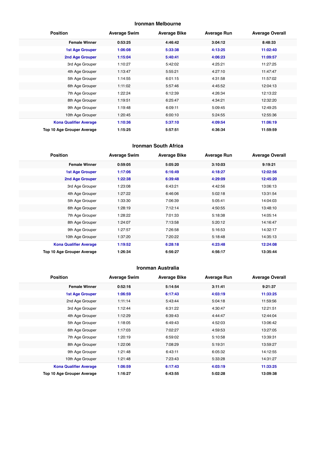#### **Ironman Melbourne**

| <b>Position</b>               | <b>Average Swim</b> | <b>Average Bike</b> | <b>Average Run</b> | <b>Average Overall</b> |
|-------------------------------|---------------------|---------------------|--------------------|------------------------|
| <b>Female Winner</b>          | 0:53:25             | 4:46:42             | 3:04:12            | 8:48:33                |
| <b>1st Age Grouper</b>        | 1:06:08             | 5:33:38             | 4:13:25            | 11:02:40               |
| <b>2nd Age Grouper</b>        | 1:15:04             | 5:40:41             | 4:06:23            | 11:09:57               |
| 3rd Age Grouper               | 1:10:27             | 5:42:02             | 4:25:21            | 11:27:25               |
| 4th Age Grouper               | 1:13:47             | 5:55:21             | 4:27:10            | 11:47:47               |
| 5th Age Grouper               | 1:14:55             | 6:01:15             | 4:31:58            | 11:57:02               |
| 6th Age Grouper               | 1:11:02             | 5:57:46             | 4:45:52            | 12:04:13               |
| 7th Age Grouper               | 1:22:24             | 6:12:39             | 4:26:34            | 12:13:22               |
| 8th Age Grouper               | 1:19:51             | 6:25:47             | 4:34:21            | 12:32:20               |
| 9th Age Grouper               | 1:19:48             | 6:09:11             | 5:09:45            | 12:49:25               |
| 10th Age Grouper              | 1:20:45             | 6:00:10             | 5:24:55            | 12:55:36               |
| <b>Kona Qualifier Average</b> | 1:10:36             | 5:37:10             | 4:09:54            | 11:06:19               |
| Top 10 Age Grouper Average    | 1:15:25             | 5:57:51             | 4:36:34            | 11:59:59               |

#### **Ironman South Africa**

| <b>Position</b>               | <b>Average Swim</b> | <b>Average Bike</b> | <b>Average Run</b> | <b>Average Overall</b> |
|-------------------------------|---------------------|---------------------|--------------------|------------------------|
| <b>Female Winner</b>          | 0:59:05             | 5:05:20             | 3:10:03            | 9:19:21                |
| <b>1st Age Grouper</b>        | 1:17:06             | 6:16:49             | 4:18:27            | 12:02:56               |
| 2nd Age Grouper               | 1:22:38             | 6:39:48             | 4:29:09            | 12:45:20               |
| 3rd Age Grouper               | 1:23:08             | 6:43:21             | 4:42:56            | 13:06:13               |
| 4th Age Grouper               | 1:27:22             | 6:46:06             | 5:02:18            | 13:31:54               |
| 5th Age Grouper               | 1:33:30             | 7:06:39             | 5:05:41            | 14:04:03               |
| 6th Age Grouper               | 1:28:19             | 7:12:14             | 4:50:55            | 13:48:10               |
| 7th Age Grouper               | 1:28:22             | 7:01:33             | 5:18:38            | 14:05:14               |
| 8th Age Grouper               | 1:24:07             | 7:13:58             | 5:20:12            | 14:16:47               |
| 9th Age Grouper               | 1:27:57             | 7:26:58             | 5:16:53            | 14:32:17               |
| 10th Age Grouper              | 1:37:20             | 7:20:22             | 5:18:48            | 14:35:13               |
| <b>Kona Qualifier Average</b> | 1:19:52             | 6:28:18             | 4:23:48            | 12:24:08               |
| Top 10 Age Grouper Average    | 1:26:34             | 6:56:27             | 4:56:17            | 13:35:44               |

#### **Ironman Australia**

| <b>Position</b>               | <b>Average Swim</b> | <b>Average Bike</b> | <b>Average Run</b> | <b>Average Overall</b> |
|-------------------------------|---------------------|---------------------|--------------------|------------------------|
| <b>Female Winner</b>          | 0:52:16             | 5:14:54             | 3:11:41            | 9:21:37                |
| <b>1st Age Grouper</b>        | 1:06:59             | 6:17:43             | 4:03:19            | 11:33:25               |
| 2nd Age Grouper               | 1:11:14             | 5:43:44             | 5:04:18            | 11:59:56               |
| 3rd Age Grouper               | 1:12:44             | 6:31:22             | 4:30:47            | 12:21:51               |
| 4th Age Grouper               | 1:12:29             | 6:39:43             | 4:44:47            | 12:44:04               |
| 5th Age Grouper               | 1:18:05             | 6:49:43             | 4:52:03            | 13:06:42               |
| 6th Age Grouper               | 1:17:03             | 7:02:27             | 4:59:53            | 13:27:05               |
| 7th Age Grouper               | 1:20:19             | 6:59:02             | 5:10:58            | 13:39:31               |
| 8th Age Grouper               | 1:22:06             | 7:08:29             | 5:19:31            | 13:59:27               |
| 9th Age Grouper               | 1:21:48             | 6:43:11             | 6:05:32            | 14:12:55               |
| 10th Age Grouper              | 1:21:48             | 7:23:43             | 5:33:28            | 14:31:27               |
| <b>Kona Qualifier Average</b> | 1:06:59             | 6:17:43             | 4:03:19            | 11:33:25               |
| Top 10 Age Grouper Average    | 1:16:27             | 6:43:55             | 5:02:28            | 13:09:38               |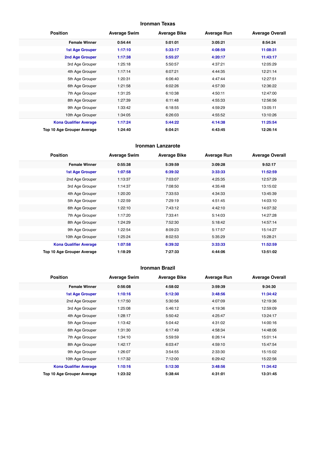#### **Ironman Texas**

| <b>Position</b>               | <b>Average Swim</b> | <b>Average Bike</b> | <b>Average Run</b> | <b>Average Overall</b> |
|-------------------------------|---------------------|---------------------|--------------------|------------------------|
| <b>Female Winner</b>          | 0:54:44             | 5:01:01             | 3:05:21            | 8:54:24                |
| <b>1st Age Grouper</b>        | 1:17:10             | 5:33:17             | 4:08:59            | 11:08:31               |
| 2nd Age Grouper               | 1:17:38             | 5:55:27             | 4:20:17            | 11:43:17               |
| 3rd Age Grouper               | 1:25:18             | 5:50:57             | 4:37:21            | 12:05:29               |
| 4th Age Grouper               | 1:17:14             | 6:07:21             | 4:44:35            | 12:21:14               |
| 5th Age Grouper               | 1:20:31             | 6:06:40             | 4:47:44            | 12:27:51               |
| 6th Age Grouper               | 1:21:58             | 6:02:26             | 4:57:30            | 12:36:22               |
| 7th Age Grouper               | 1:31:25             | 6:10:38             | 4:50:11            | 12:47:00               |
| 8th Age Grouper               | 1:27:39             | 6:11:48             | 4:55:33            | 12:56:56               |
| 9th Age Grouper               | 1:33:42             | 6:18:55             | 4:59:29            | 13:05:11               |
| 10th Age Grouper              | 1:34:05             | 6:26:03             | 4:55:52            | 13:10:26               |
| <b>Kona Qualifier Average</b> | 1:17:24             | 5:44:22             | 4:14:38            | 11:25:54               |
| Top 10 Age Grouper Average    | 1:24:40             | 6:04:21             | 4:43:45            | 12:26:14               |

#### **Ironman Lanzarote**

| <b>Position</b>               | <b>Average Swim</b> | <b>Average Bike</b> | <b>Average Run</b> | <b>Average Overall</b> |
|-------------------------------|---------------------|---------------------|--------------------|------------------------|
| <b>Female Winner</b>          | 0:55:38             | 5:39:59             | 3:09:28            | 9:52:17                |
| <b>1st Age Grouper</b>        | 1:07:58             | 6:39:32             | 3:33:33            | 11:52:59               |
| 2nd Age Grouper               | 1:13:37             | 7:03:07             | 4:25:35            | 12:57:29               |
| 3rd Age Grouper               | 1:14:37             | 7:08:50             | 4:35:48            | 13:15:02               |
| 4th Age Grouper               | 1:20:20             | 7:33:53             | 4:34:33            | 13:45:39               |
| 5th Age Grouper               | 1:22:59             | 7:29:19             | 4:51:45            | 14:03:10               |
| 6th Age Grouper               | 1:22:10             | 7:43:12             | 4:42:10            | 14:07:32               |
| 7th Age Grouper               | 1:17:20             | 7:33:41             | 5:14:03            | 14:27:28               |
| 8th Age Grouper               | 1:24:29             | 7:52:30             | 5:18:42            | 14:57:14               |
| 9th Age Grouper               | 1:22:54             | 8:09:23             | 5:17:57            | 15:14:27               |
| 10th Age Grouper              | 1:25:24             | 8:02:53             | 5:35:29            | 15:28:21               |
| <b>Kona Qualifier Average</b> | 1:07:58             | 6:39:32             | 3:33:33            | 11:52:59               |
| Top 10 Age Grouper Average    | 1:18:29             | 7:27:33             | 4:44:06            | 13:51:02               |

#### **Ironman Brazil**

| <b>Position</b>               | <b>Average Swim</b> | <b>Average Bike</b> | <b>Average Run</b> | <b>Average Overall</b> |
|-------------------------------|---------------------|---------------------|--------------------|------------------------|
| <b>Female Winner</b>          | 0:56:08             | 4:58:02             | 3:59:39            | 9:34:30                |
| <b>1st Age Grouper</b>        | 1:10:16             | 5:12:30             | 3:48:56            | 11:34:42               |
| 2nd Age Grouper               | 1:17:50             | 5:30:56             | 4:07:09            | 12:19:36               |
| 3rd Age Grouper               | 1:25:08             | 5:46:12             | 4:19:36            | 12:59:09               |
| 4th Age Grouper               | 1:28:17             | 5:50:42             | 4:25:47            | 13:24:17               |
| 5th Age Grouper               | 1:13:42             | 5:04:42             | 4:31:02            | 14:00:16               |
| 6th Age Grouper               | 1:31:30             | 6:17:49             | 4:58:34            | 14:48:06               |
| 7th Age Grouper               | 1:34:10             | 5:59:59             | 6:26:14            | 15:01:14               |
| 8th Age Grouper               | 1:42:17             | 6:03:47             | 4:59:10            | 15:47:54               |
| 9th Age Grouper               | 1:26:07             | 3:54:55             | 2:33:30            | 15:15:02               |
| 10th Age Grouper              | 1:17:32             | 7:12:00             | 6:29:42            | 15:22:56               |
| <b>Kona Qualifier Average</b> | 1:10:16             | 5:12:30             | 3:48:56            | 11:34:42               |
| Top 10 Age Grouper Average    | 1:23:32             | 5:38:44             | 4:31:01            | 13:31:45               |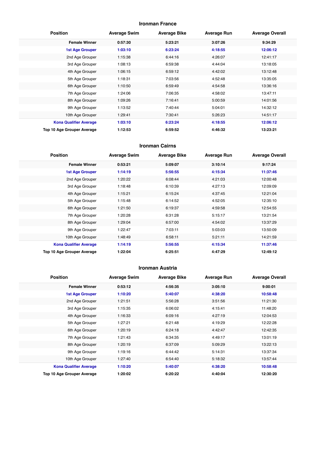#### **Ironman France**

| <b>Position</b>               | <b>Average Swim</b> | <b>Average Bike</b> | <b>Average Run</b> | <b>Average Overall</b> |
|-------------------------------|---------------------|---------------------|--------------------|------------------------|
| <b>Female Winner</b>          | 0:57:30             | 5:23:21             | 3:07:26            | 9:34:29                |
| <b>1st Age Grouper</b>        | 1:03:10             | 6:23:24             | 4:18:55            | 12:06:12               |
| 2nd Age Grouper               | 1:15:38             | 6:44:16             | 4:26:07            | 12:41:17               |
| 3rd Age Grouper               | 1:08:13             | 6:59:38             | 4:44:04            | 13:18:05               |
| 4th Age Grouper               | 1:06:15             | 6:59:12             | 4:42:02            | 13:12:48               |
| 5th Age Grouper               | 1:18:31             | 7:03:56             | 4:52:48            | 13:35:05               |
| 6th Age Grouper               | 1:10:50             | 6:59:49             | 4:54:58            | 13:36:16               |
| 7th Age Grouper               | 1:24:06             | 7:06:35             | 4:58:02            | 13:47:11               |
| 8th Age Grouper               | 1:09:26             | 7:16:41             | 5:00:59            | 14:01:56               |
| 9th Age Grouper               | 1:13:52             | 7:40:44             | 5:04:01            | 14:32:12               |
| 10th Age Grouper              | 1:29:41             | 7:30:41             | 5:26:23            | 14:51:17               |
| <b>Kona Qualifier Average</b> | 1:03:10             | 6:23:24             | 4:18:55            | 12:06:12               |
| Top 10 Age Grouper Average    | 1:12:53             | 6:59:52             | 4:46:32            | 13:23:21               |

#### **Ironman Cairns**

| <b>Position</b>               | <b>Average Swim</b> | <b>Average Bike</b> | <b>Average Run</b> | <b>Average Overall</b> |
|-------------------------------|---------------------|---------------------|--------------------|------------------------|
| <b>Female Winner</b>          | 0:53:21             | 5:09:07             | 3:10:14            | 9:17:24                |
| <b>1st Age Grouper</b>        | 1:14:19             | 5:56:55             | 4:15:34            | 11:37:46               |
| 2nd Age Grouper               | 1:20:22             | 6:08:44             | 4:21:03            | 12:00:48               |
| 3rd Age Grouper               | 1:18:48             | 6:10:39             | 4:27:13            | 12:09:09               |
| 4th Age Grouper               | 1:15:21             | 6:15:24             | 4:37:45            | 12:21:04               |
| 5th Age Grouper               | 1:15:48             | 6:14:52             | 4:52:05            | 12:35:10               |
| 6th Age Grouper               | 1:21:50             | 6:19:37             | 4:59:58            | 12:54:55               |
| 7th Age Grouper               | 1:20:28             | 6:31:28             | 5:15:17            | 13:21:54               |
| 8th Age Grouper               | 1:29:04             | 6:57:00             | 4:54:02            | 13:37:29               |
| 9th Age Grouper               | 1:22:47             | 7:03:11             | 5:03:03            | 13:50:09               |
| 10th Age Grouper              | 1:48:49             | 6:58:11             | 5:21:11            | 14:21:59               |
| <b>Kona Qualifier Average</b> | 1:14:19             | 5:56:55             | 4:15:34            | 11:37:46               |
| Top 10 Age Grouper Average    | 1:22:04             | 6:25:51             | 4:47:29            | 12:49:12               |

#### **Ironman Austria**

| <b>Position</b>               | <b>Average Swim</b> | <b>Average Bike</b> | <b>Average Run</b> | <b>Average Overall</b> |
|-------------------------------|---------------------|---------------------|--------------------|------------------------|
| <b>Female Winner</b>          | 0:53:12             | 4:56:35             | 3:05:10            | 9:00:01                |
| <b>1st Age Grouper</b>        | 1:10:20             | 5:40:07             | 4:38:20            | 10:58:48               |
| 2nd Age Grouper               | 1:21:51             | 5:56:28             | 3:51:56            | 11:21:30               |
| 3rd Age Grouper               | 1:15:35             | 6:06:02             | 4:15:41            | 11:48:20               |
| 4th Age Grouper               | 1:16:33             | 6:09:16             | 4:27:19            | 12:04:53               |
| 5th Age Grouper               | 1:27:21             | 6:21:48             | 4:19:29            | 12:22:28               |
| 6th Age Grouper               | 1:20:19             | 6:24:18             | 4:42:47            | 12:42:35               |
| 7th Age Grouper               | 1:21:43             | 6:34:35             | 4:49:17            | 13:01:19               |
| 8th Age Grouper               | 1:20:19             | 6:37:09             | 5:09:29            | 13:22:13               |
| 9th Age Grouper               | 1:19:16             | 6:44:42             | 5:14:31            | 13:37:34               |
| 10th Age Grouper              | 1:27:40             | 6:54:40             | 5:18:32            | 13:57:44               |
| <b>Kona Qualifier Average</b> | 1:10:20             | 5:40:07             | 4:38:20            | 10:58:48               |
| Top 10 Age Grouper Average    | 1:20:02             | 6:20:22             | 4:40:04            | 12:30:20               |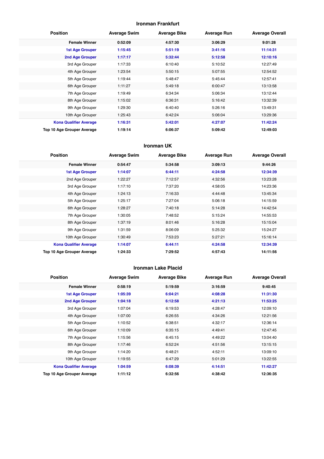#### **Ironman Frankfurt**

| <b>Position</b>               | <b>Average Swim</b> | <b>Average Bike</b> | <b>Average Run</b> | <b>Average Overall</b> |
|-------------------------------|---------------------|---------------------|--------------------|------------------------|
| <b>Female Winner</b>          | 0:52:09             | 4:57:30             | 3:06:29            | 9:01:28                |
| <b>1st Age Grouper</b>        | 1:15:45             | 5:51:19             | 3:41:16            | 11:14:31               |
| 2nd Age Grouper               | 1:17:17             | 5:32:44             | 5:12:58            | 12:10:16               |
| 3rd Age Grouper               | 1:17:33             | 6:10:40             | 5:10:52            | 12:27:49               |
| 4th Age Grouper               | 1:23:54             | 5:50:15             | 5:07:55            | 12:54:52               |
| 5th Age Grouper               | 1:19:44             | 5:48:47             | 5:45:44            | 12:57:41               |
| 6th Age Grouper               | 1:11:27             | 5:49:18             | 6:00:47            | 13:13:58               |
| 7th Age Grouper               | 1:19:49             | 6:34:34             | 5:06:34            | 13:12:44               |
| 8th Age Grouper               | 1:15:02             | 6:36:31             | 5:16:42            | 13:32:39               |
| 9th Age Grouper               | 1:29:30             | 6:40:40             | 5:26:16            | 13:49:31               |
| 10th Age Grouper              | 1:25:43             | 6:42:24             | 5:06:04            | 13:29:36               |
| <b>Kona Qualifier Average</b> | 1:16:31             | 5:42:01             | 4:27:07            | 11:42:24               |
| Top 10 Age Grouper Average    | 1:19:14             | 6:06:37             | 5:09:42            | 12:49:03               |

#### **Ironman UK**

| <b>Position</b>               | <b>Average Swim</b> | <b>Average Bike</b> | <b>Average Run</b> | <b>Average Overall</b> |
|-------------------------------|---------------------|---------------------|--------------------|------------------------|
| <b>Female Winner</b>          | 0:54:47             | 5:34:58             | 3:09:13            | 9:44:26                |
| <b>1st Age Grouper</b>        | 1:14:07             | 6:44:11             | 4:24:58            | 12:34:39               |
| 2nd Age Grouper               | 1:22:27             | 7:12:57             | 4:32:56            | 13:23:28               |
| 3rd Age Grouper               | 1:17:10             | 7:37:20             | 4:58:05            | 14:23:36               |
| 4th Age Grouper               | 1:24:13             | 7:16:33             | 4:44:48            | 13:45:34               |
| 5th Age Grouper               | 1:25:17             | 7:27:04             | 5:06:18            | 14:15:59               |
| 6th Age Grouper               | 1:28:27             | 7:40:18             | 5:14:28            | 14:42:54               |
| 7th Age Grouper               | 1:30:05             | 7:48:52             | 5:15:24            | 14:55:53               |
| 8th Age Grouper               | 1:37:19             | 8:01:46             | 5:16:28            | 15:15:04               |
| 9th Age Grouper               | 1:31:59             | 8:06:09             | 5:25:32            | 15:24:27               |
| 10th Age Grouper              | 1:30:49             | 7:53:23             | 5:27:21            | 15:16:14               |
| <b>Kona Qualifier Average</b> | 1:14:07             | 6:44:11             | 4:24:58            | 12:34:39               |
| Top 10 Age Grouper Average    | 1:24:33             | 7:29:52             | 4:57:43            | 14:11:56               |

#### **Ironman Lake Placid**

| <b>Position</b>               | <b>Average Swim</b> | <b>Average Bike</b> | <b>Average Run</b> | <b>Average Overall</b> |
|-------------------------------|---------------------|---------------------|--------------------|------------------------|
| <b>Female Winner</b>          | 0:58:19             | 5:19:59             | 3:16:59            | 9:40:45                |
| 1st Age Grouper               | 1:05:39             | 6:04:21             | 4:08:28            | 11:31:30               |
| 2nd Age Grouper               | 1:04:18             | 6:12:58             | 4:21:13            | 11:53:25               |
| 3rd Age Grouper               | 1:07:04             | 6:19:53             | 4:28:47            | 12:09:10               |
| 4th Age Grouper               | 1:07:00             | 6:26:55             | 4:34:26            | 12:21:56               |
| 5th Age Grouper               | 1:10:52             | 6:38:51             | 4:32:17            | 12:36:14               |
| 6th Age Grouper               | 1:10:09             | 6:35:15             | 4:49:41            | 12:47:45               |
| 7th Age Grouper               | 1:15:56             | 6:45:15             | 4:49:22            | 13:04:40               |
| 8th Age Grouper               | 1:17:46             | 6:52:24             | 4:51:56            | 13:15:15               |
| 9th Age Grouper               | 1:14:20             | 6:48:21             | 4:52:11            | 13:09:10               |
| 10th Age Grouper              | 1:19:55             | 6:47:29             | 5:01:29            | 13:22:55               |
| <b>Kona Qualifier Average</b> | 1:04:59             | 6:08:39             | 4:14:51            | 11:42:27               |
| Top 10 Age Grouper Average    | 1:11:12             | 6:32:56             | 4:38:42            | 12:36:35               |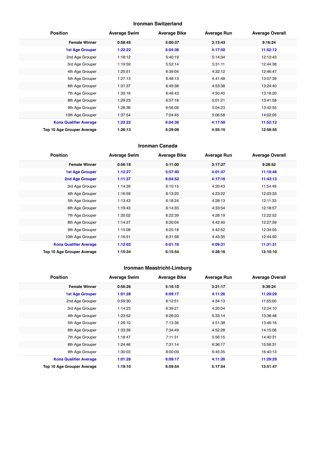#### **Ironman Switzerland**

| <b>Position</b>               | <b>Average Swim</b> | <b>Average Bike</b> | <b>Average Run</b> | <b>Average Overall</b> |
|-------------------------------|---------------------|---------------------|--------------------|------------------------|
| <b>Female Winner</b>          | 0:58:45             | 5:00:37             | 3:13:43            | 9:16:24                |
| <b>1st Age Grouper</b>        | 1:22:22             | 6:04:36             | 4:17:50            | 11:52:12               |
| 2nd Age Grouper               | 1:18:12             | 5:40:19             | 5:14:34            | 12:13:43               |
| 3rd Age Grouper               | 1:19:59             | 5:52:14             | 5:31:11            | 12:44:38               |
| 4th Age Grouper               | 1:25:51             | 6:39:04             | 4:32:12            | 12:46:47               |
| 5th Age Grouper               | 1:27:13             | 6:48:13             | 4:41:48            | 13:07:39               |
| 6th Age Grouper               | 1:31:37             | 6:49:38             | 4:53:38            | 13:24:40               |
| 7th Age Grouper               | 1:30:16             | 6:46:43             | 4:50:40            | 13:18:20               |
| 8th Age Grouper               | 1:29:23             | 6:57:18             | 5:01:21            | 13:41:58               |
| 9th Age Grouper               | 1:28:36             | 6:56:08             | 5:04:23            | 13:42:55               |
| 10th Age Grouper              | 1:37:54             | 7:04:45             | 5:06:58            | 14:02:05               |
| <b>Kona Qualifier Average</b> | 1:22:22             | 6:04:36             | 4:17:50            | 11:52:12               |
| Top 10 Age Grouper Average    | 1:26:13             | 6:29:09             | 4:55:15            | 12:58:55               |

#### **Ironman Canada**

| <b>Position</b>               | <b>Average Swim</b> | <b>Average Bike</b> | <b>Average Run</b> | <b>Average Overall</b> |
|-------------------------------|---------------------|---------------------|--------------------|------------------------|
| <b>Female Winner</b>          | 0:56:18             | 5:11:00             | 3:17:27            | 9:28:52                |
| <b>1st Age Grouper</b>        | 1:12:27             | 5:57:40             | 4:01:47            | 11:19:48               |
| 2nd Age Grouper               | 1:11:37             | 6:04:52             | 4:17:16            | 11:43:13               |
| 3rd Age Grouper               | 1:14:39             | 6:10:15             | 4:20:43            | 11:54:49               |
| 4th Age Grouper               | 1:16:59             | 6:13:20             | 4:23:22            | 12:03:33               |
| 5th Age Grouper               | 1:13:43             | 6:18:24             | 4:28:13            | 12:11:33               |
| 6th Age Grouper               | 1:19:43             | 6:14:33             | 4:33:54            | 12:18:57               |
| 7th Age Grouper               | 1:20:02             | 6:22:39             | 4:28:19            | 12:22:52               |
| 8th Age Grouper               | 1:14:27             | 6:20:04             | 4:42:40            | 12:27:59               |
| 9th Age Grouper               | 1:15:08             | 6:25:18             | 4:42:52            | 12:34:05               |
| 10th Age Grouper              | 1:16:51             | 6:31:58             | 4:43:35            | 12:44:50               |
| <b>Kona Qualifier Average</b> | 1:12:02             | 6:01:16             | 4:09:31            | 11:31:31               |
| Top 10 Age Grouper Average    | 1:15:34             | 6:15:54             | 4:28:16            | 12:10:10               |

#### **Ironman Maastricht-Limburg**

| <b>Position</b>               | <b>Average Swim</b> | <b>Average Bike</b> | <b>Average Run</b> | <b>Average Overall</b> |
|-------------------------------|---------------------|---------------------|--------------------|------------------------|
| <b>Female Winner</b>          | 0:56:26             | 5:16:10             | 3:21:17            | 9:39:24                |
| <b>1st Age Grouper</b>        | 1:01:28             | 6:09:17             | 4:11:26            | 11:29:29               |
| 2nd Age Grouper               | 0:59:30             | 6:12:51             | 4:34:13            | 11:55:00               |
| 3rd Age Grouper               | 1:14:23             | 6:39:21             | 4:20:04            | 12:24:10               |
| 4th Age Grouper               | 1:23:52             | 6:26:20             | 5:33:14            | 13:38:48               |
| 5th Age Grouper               | 1:26:10             | 7:13:36             | 4:51:38            | 13:46:16               |
| 6th Age Grouper               | 1:33:39             | 7:34:49             | 4:52:28            | 14:15:06               |
| 7th Age Grouper               | 1:18:47             | 7:11:31             | 5:56:15            | 14:40:31               |
| 8th Age Grouper               | 1:24:46             | 7:31:14             | 6:36:17            | 15:56:31               |
| 9th Age Grouper               | 1:30:03             | 8:00:09             | 6:45:35            | 16:40:13               |
| <b>Kona Qualifier Average</b> | 1:01:28             | 6:09:17             | 4:11:26            | 11:29:29               |
| Top 10 Age Grouper Average    | 1:19:10             | 6:59:54             | 5:17:54            | 13:51:47               |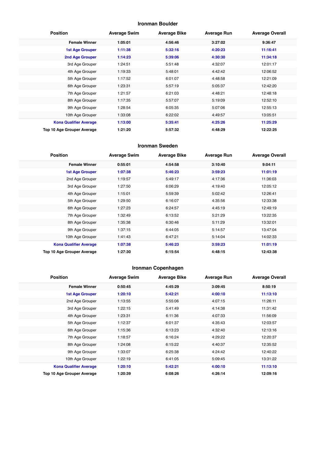#### **Ironman Boulder**

| <b>Position</b>               | <b>Average Swim</b> | <b>Average Bike</b> | <b>Average Run</b> | <b>Average Overall</b> |
|-------------------------------|---------------------|---------------------|--------------------|------------------------|
| <b>Female Winner</b>          | 1:05:01             | 4:56:46             | 3:27:02            | 9:36:47                |
| <b>1st Age Grouper</b>        | 1:11:38             | 5:32:16             | 4:20:23            | 11:16:41               |
| 2nd Age Grouper               | 1:14:23             | 5:39:06             | 4:30:30            | 11:34:18               |
| 3rd Age Grouper               | 1:24:51             | 5:51:48             | 4:32:07            | 12:01:17               |
| 4th Age Grouper               | 1:19:33             | 5:48:01             | 4:42:42            | 12:06:52               |
| 5th Age Grouper               | 1:17:52             | 6:01:07             | 4:48:58            | 12:21:09               |
| 6th Age Grouper               | 1:23:31             | 5:57:19             | 5:05:37            | 12:42:20               |
| 7th Age Grouper               | 1:21:57             | 6:21:03             | 4:48:21            | 12:48:18               |
| 8th Age Grouper               | 1:17:35             | 5:57:07             | 5:19:09            | 12:52:10               |
| 9th Age Grouper               | 1:28:54             | 6:05:35             | 5:07:06            | 12:55:13               |
| 10th Age Grouper              | 1:33:08             | 6:22:02             | 4:49:57            | 13:05:51               |
| <b>Kona Qualifier Average</b> | 1:13:00             | 5:35:41             | 4:25:26            | 11:25:29               |
| Top 10 Age Grouper Average    | 1:21:20             | 5:57:32             | 4:48:29            | 12:22:25               |

#### **Ironman Sweden**

| <b>Position</b>               | <b>Average Swim</b> | <b>Average Bike</b> | <b>Average Run</b> | <b>Average Overall</b> |
|-------------------------------|---------------------|---------------------|--------------------|------------------------|
| <b>Female Winner</b>          | 0:55:01             | 4:54:58             | 3:10:40            | 9:04:11                |
| <b>1st Age Grouper</b>        | 1:07:38             | 5:46:23             | 3:59:23            | 11:01:19               |
| 2nd Age Grouper               | 1:19:57             | 5:49:17             | 4:17:36            | 11:36:03               |
| 3rd Age Grouper               | 1:27:50             | 6:06:29             | 4:19:40            | 12:05:12               |
| 4th Age Grouper               | 1:15:01             | 5:59:39             | 5:02:42            | 12:26:41               |
| 5th Age Grouper               | 1:29:50             | 6:16:07             | 4:35:56            | 12:33:38               |
| 6th Age Grouper               | 1:27:23             | 6:24:57             | 4:45:19            | 12:49:19               |
| 7th Age Grouper               | 1:32:49             | 6:13:52             | 5:21:29            | 13:22:35               |
| 8th Age Grouper               | 1:35:38             | 6:30:46             | 5:11:29            | 13:32:01               |
| 9th Age Grouper               | 1:37:15             | 6:44:05             | 5:14:57            | 13:47:04               |
| 10th Age Grouper              | 1:41:43             | 6:47:21             | 5:14:04            | 14:02:33               |
| <b>Kona Qualifier Average</b> | 1:07:38             | 5:46:23             | 3:59:23            | 11:01:19               |
| Top 10 Age Grouper Average    | 1:27:30             | 6:15:54             | 4:48:15            | 12:43:38               |

#### **Ironman Copenhagen**

| <b>Position</b>               | <b>Average Swim</b> | <b>Average Bike</b> | <b>Average Run</b> | <b>Average Overall</b> |
|-------------------------------|---------------------|---------------------|--------------------|------------------------|
| <b>Female Winner</b>          | 0:50:45             | 4:45:29             | 3:09:45            | 8:50:19                |
| <b>1st Age Grouper</b>        | 1:20:10             | 5:42:21             | 4:00:10            | 11:13:10               |
| 2nd Age Grouper               | 1:13:55             | 5:55:06             | 4:07:15            | 11:26:11               |
| 3rd Age Grouper               | 1:22:15             | 5:41:49             | 4:14:38            | 11:31:42               |
| 4th Age Grouper               | 1:23:31             | 6:11:36             | 4:07:33            | 11:56:09               |
| 5th Age Grouper               | 1:12:37             | 6:01:37             | 4:35:43            | 12:03:57               |
| 6th Age Grouper               | 1:15:36             | 6:13:23             | 4:32:40            | 12:13:16               |
| 7th Age Grouper               | 1:18:57             | 6:16:24             | 4:29:22            | 12:20:37               |
| 8th Age Grouper               | 1:24:08             | 6:15:22             | 4:40:37            | 12:35:52               |
| 9th Age Grouper               | 1:33:07             | 6:25:38             | 4:24:42            | 12:40:22               |
| 10th Age Grouper              | 1:22:19             | 6:41:05             | 5:09:45            | 13:31:22               |
| <b>Kona Qualifier Average</b> | 1:20:10             | 5:42:21             | 4:00:10            | 11:13:10               |
| Top 10 Age Grouper Average    | 1:20:39             | 6:08:26             | 4:26:14            | 12:09:16               |